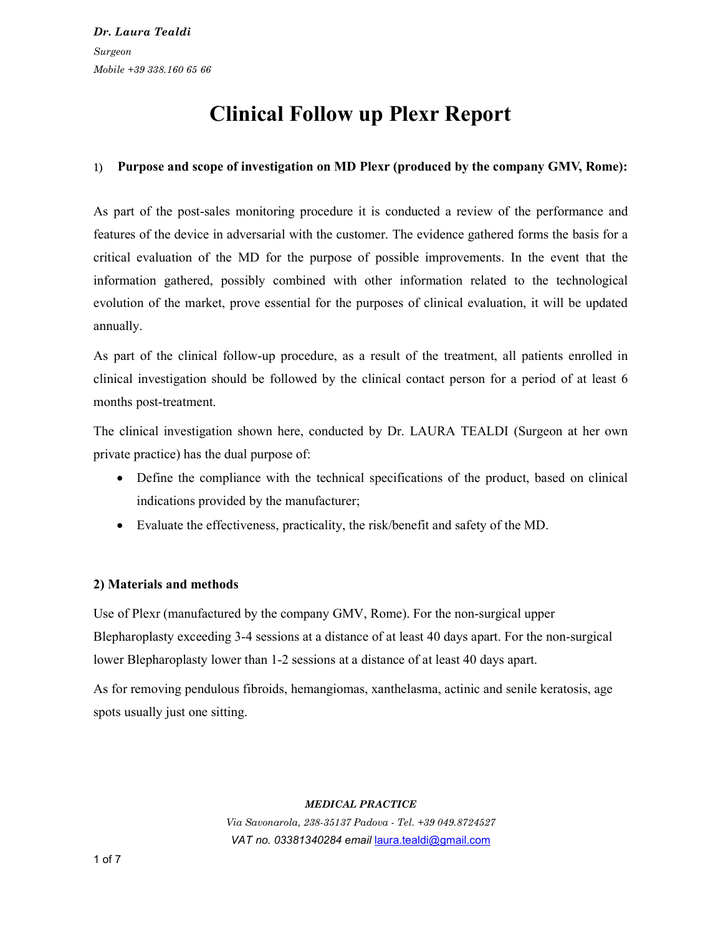# Clinical Follow up Plexr Report

# Purpose and scope of investigation on MD Plexr (produced by the company GMV, Rome):

As part of the post-sales monitoring procedure it is conducted a review of the performance and features of the device in adversarial with the customer. The evidence gathered forms the basis for a critical evaluation of the MD for the purpose of possible improvements. In the event that the information gathered, possibly combined with other information related to the technological evolution of the market, prove essential for the purposes of clinical evaluation, it will be updated annually.

As part of the clinical follow-up procedure, as a result of the treatment, all patients enrolled in clinical investigation should be followed by the clinical contact person for a period of at least 6 months post-treatment.

The clinical investigation shown here, conducted by Dr. LAURA TEALDI (Surgeon at her own private practice) has the dual purpose of:

- Define the compliance with the technical specifications of the product, based on clinical indications provided by the manufacturer;
- Evaluate the effectiveness, practicality, the risk/benefit and safety of the MD.

### 2) Materials and methods

Use of Plexr (manufactured by the company GMV, Rome). For the non-surgical upper Blepharoplasty exceeding 3-4 sessions at a distance of at least 40 days apart. For the non-surgical lower Blepharoplasty lower than 1-2 sessions at a distance of at least 40 days apart.

As for removing pendulous fibroids, hemangiomas, xanthelasma, actinic and senile keratosis, age spots usually just one sitting.

#### MEDICAL PRACTICE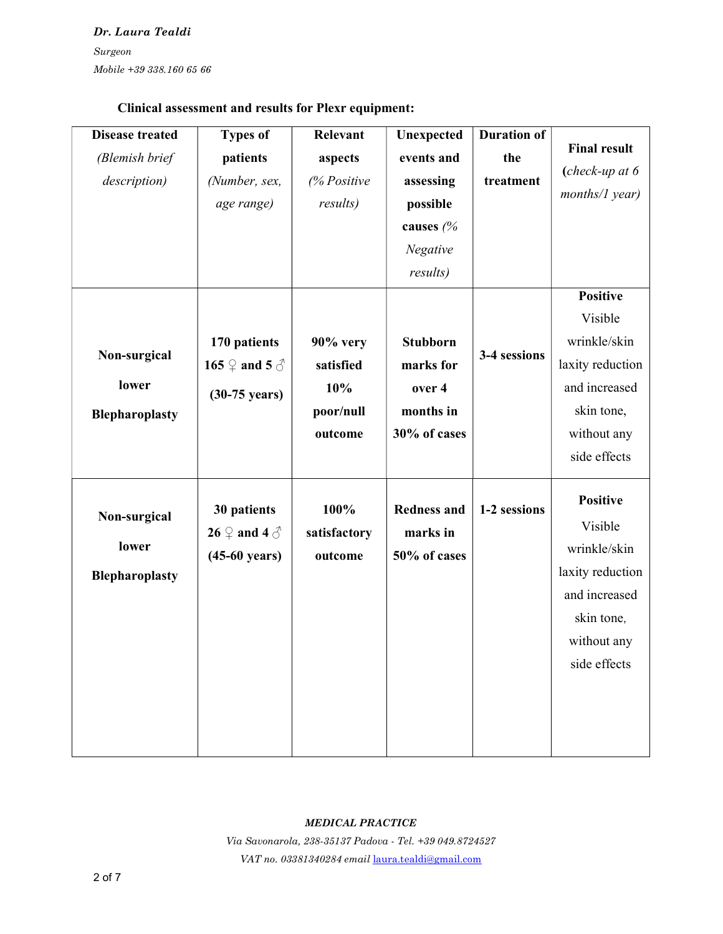# Clinical assessment and results for Plexr equipment:

| <b>Disease treated</b> | <b>Types of</b>               | <b>Relevant</b>  | Unexpected         | <b>Duration of</b> |                     |
|------------------------|-------------------------------|------------------|--------------------|--------------------|---------------------|
| (Blemish brief         | patients                      | aspects          | events and         | the                | <b>Final result</b> |
| description)           | (Number, sex,                 | % Positive       | assessing          | treatment          | $(check-up at 6)$   |
|                        | age range)                    | <i>results</i> ) | possible           |                    | months/1 year)      |
|                        |                               |                  | causes (%          |                    |                     |
|                        |                               |                  | Negative           |                    |                     |
|                        |                               |                  | results)           |                    |                     |
|                        |                               |                  |                    |                    | <b>Positive</b>     |
|                        |                               |                  |                    |                    | Visible             |
|                        | 170 patients                  | $90\%$ very      | <b>Stubborn</b>    |                    | wrinkle/skin        |
| Non-surgical           | 165 $\varphi$ and 5 $\varphi$ | satisfied        | marks for          | 3-4 sessions       | laxity reduction    |
| lower                  | $(30-75 \text{ years})$       | 10%              | over 4             |                    | and increased       |
| Blepharoplasty         |                               | poor/null        | months in          |                    | skin tone,          |
|                        |                               | outcome          | 30% of cases       |                    | without any         |
|                        |                               |                  |                    |                    | side effects        |
|                        |                               |                  |                    |                    |                     |
|                        | 30 patients                   | 100%             | <b>Redness and</b> | 1-2 sessions       | <b>Positive</b>     |
| Non-surgical           | 26 $\varphi$ and 4 $\varphi$  | satisfactory     | marks in           |                    | Visible             |
| lower                  | $(45-60 \text{ years})$       | outcome          | 50% of cases       |                    | wrinkle/skin        |
| <b>Blepharoplasty</b>  |                               |                  |                    |                    | laxity reduction    |
|                        |                               |                  |                    |                    | and increased       |
|                        |                               |                  |                    |                    | skin tone,          |
|                        |                               |                  |                    |                    | without any         |
|                        |                               |                  |                    |                    | side effects        |
|                        |                               |                  |                    |                    |                     |
|                        |                               |                  |                    |                    |                     |
|                        |                               |                  |                    |                    |                     |
|                        |                               |                  |                    |                    |                     |

#### MEDICAL PRACTICE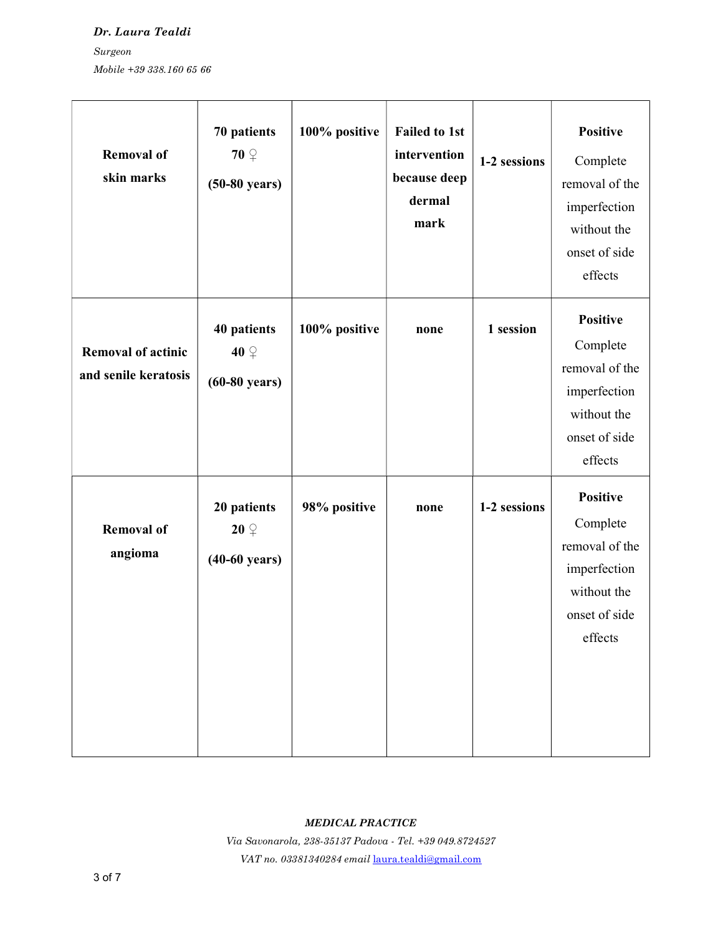Dr. Laura Tealdi Surgeon Mobile +39 338.160 65 66

| <b>Removal of</b><br>skin marks                   | 70 patients<br>$70\degree$<br>$(50-80 \text{ years})$ | 100% positive | <b>Failed to 1st</b><br>intervention<br>because deep<br>dermal<br>mark | 1-2 sessions | <b>Positive</b><br>Complete<br>removal of the<br>imperfection<br>without the<br>onset of side<br>effects |
|---------------------------------------------------|-------------------------------------------------------|---------------|------------------------------------------------------------------------|--------------|----------------------------------------------------------------------------------------------------------|
| <b>Removal of actinic</b><br>and senile keratosis | 40 patients<br>$40\degree$<br>$(60-80 \text{ years})$ | 100% positive | none                                                                   | 1 session    | <b>Positive</b><br>Complete<br>removal of the<br>imperfection<br>without the<br>onset of side<br>effects |
| <b>Removal of</b><br>angioma                      | 20 patients<br>$20\degree$<br>$(40-60 \text{ years})$ | 98% positive  | none                                                                   | 1-2 sessions | <b>Positive</b><br>Complete<br>removal of the<br>imperfection<br>without the<br>onset of side<br>effects |

#### MEDICAL PRACTICE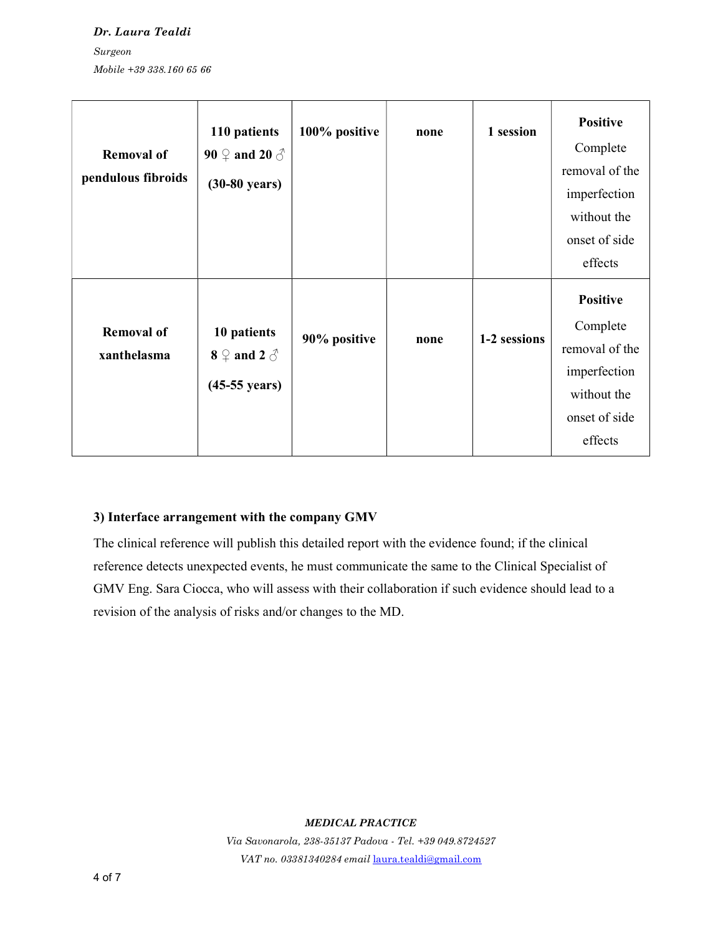Dr. Laura Tealdi Surgeon Mobile +39 338.160 65 66

| <b>Removal of</b><br>pendulous fibroids | 110 patients<br>90 $\circledcirc$ and 20 $\circlearrowleft$<br>$(30-80 \text{ years})$ | 100% positive | none | 1 session    | <b>Positive</b><br>Complete<br>removal of the<br>imperfection<br>without the<br>onset of side<br>effects |
|-----------------------------------------|----------------------------------------------------------------------------------------|---------------|------|--------------|----------------------------------------------------------------------------------------------------------|
| <b>Removal of</b><br>xanthelasma        | 10 patients<br>$8 \nightharpoonup$ and 2 $\triangle$<br>$(45-55 \text{ years})$        | 90% positive  | none | 1-2 sessions | <b>Positive</b><br>Complete<br>removal of the<br>imperfection<br>without the<br>onset of side<br>effects |

#### 3) Interface arrangement with the company GMV

The clinical reference will publish this detailed report with the evidence found; if the clinical reference detects unexpected events, he must communicate the same to the Clinical Specialist of GMV Eng. Sara Ciocca, who will assess with their collaboration if such evidence should lead to a revision of the analysis of risks and/or changes to the MD.

#### MEDICAL PRACTICE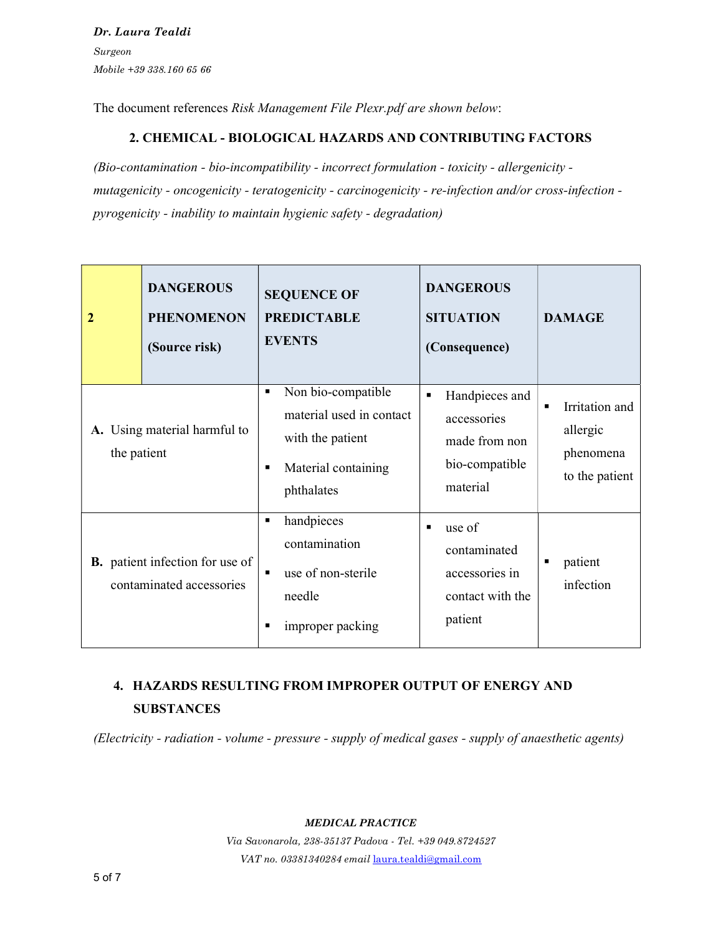Dr. Laura Tealdi Surgeon Mobile +39 338.160 65 66

The document references Risk Management File Plexr.pdf are shown below:

## 2. CHEMICAL - BIOLOGICAL HAZARDS AND CONTRIBUTING FACTORS

(Bio-contamination - bio-incompatibility - incorrect formulation - toxicity - allergenicity mutagenicity - oncogenicity - teratogenicity - carcinogenicity - re-infection and/or cross-infection pyrogenicity - inability to maintain hygienic safety - degradation)

| 2           | <b>DANGEROUS</b><br><b>PHENOMENON</b><br>(Source risk)             | <b>SEQUENCE OF</b><br><b>PREDICTABLE</b><br><b>EVENTS</b>                                               | <b>DANGEROUS</b><br><b>SITUATION</b><br>(Consequence)                                          | <b>DAMAGE</b>                                                               |
|-------------|--------------------------------------------------------------------|---------------------------------------------------------------------------------------------------------|------------------------------------------------------------------------------------------------|-----------------------------------------------------------------------------|
| the patient | A. Using material harmful to                                       | Non bio-compatible<br>material used in contact<br>with the patient<br>Material containing<br>phthalates | Handpieces and<br>$\blacksquare$<br>accessories<br>made from non<br>bio-compatible<br>material | Irritation and<br>$\blacksquare$<br>allergic<br>phenomena<br>to the patient |
|             | <b>B.</b> patient infection for use of<br>contaminated accessories | handpieces<br>٠<br>contamination<br>use of non-sterile<br>٠<br>needle<br>improper packing               | use of<br>$\blacksquare$<br>contaminated<br>accessories in<br>contact with the<br>patient      | patient<br>infection                                                        |

# 4. HAZARDS RESULTING FROM IMPROPER OUTPUT OF ENERGY AND **SUBSTANCES**

(Electricity - radiation - volume - pressure - supply of medical gases - supply of anaesthetic agents)

#### MEDICAL PRACTICE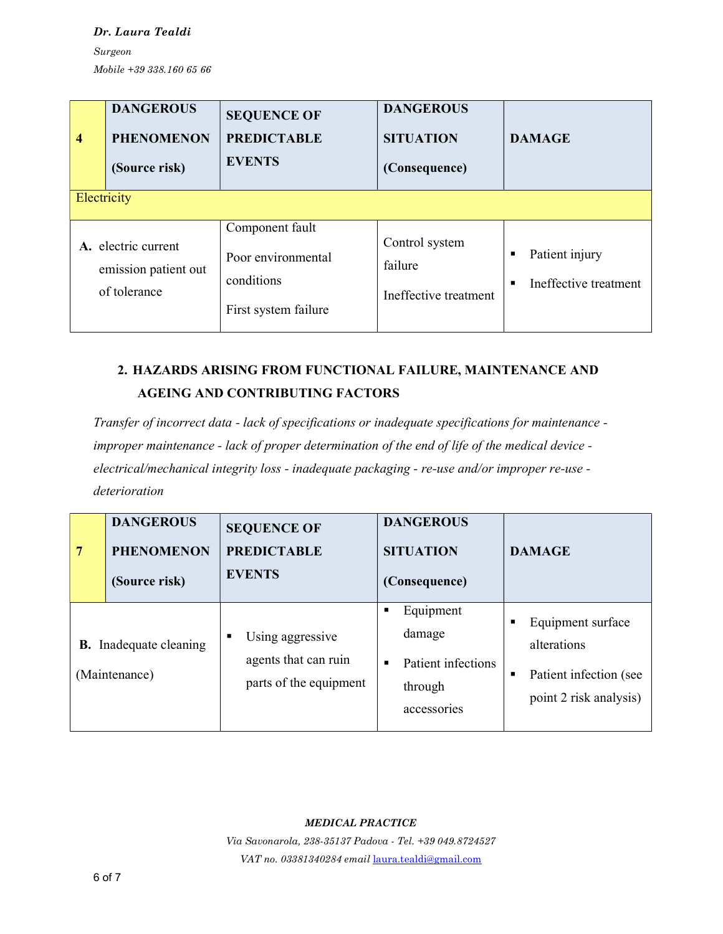Dr. Laura Tealdi Surgeon

Mobile +39 338.160 65 66

| $\overline{\mathcal{A}}$ | <b>DANGEROUS</b><br><b>PHENOMENON</b><br>(Source risk)      | <b>SEQUENCE OF</b><br><b>PREDICTABLE</b><br><b>EVENTS</b>                   | <b>DANGEROUS</b><br><b>SITUATION</b><br>(Consequence) | <b>DAMAGE</b>                                |
|--------------------------|-------------------------------------------------------------|-----------------------------------------------------------------------------|-------------------------------------------------------|----------------------------------------------|
| Electricity              |                                                             |                                                                             |                                                       |                                              |
|                          | A. electric current<br>emission patient out<br>of tolerance | Component fault<br>Poor environmental<br>conditions<br>First system failure | Control system<br>failure<br>Ineffective treatment    | Patient injury<br>٠<br>Ineffective treatment |

# 2. HAZARDS ARISING FROM FUNCTIONAL FAILURE, MAINTENANCE AND AGEING AND CONTRIBUTING FACTORS

Transfer of incorrect data - lack of specifications or inadequate specifications for maintenance improper maintenance - lack of proper determination of the end of life of the medical device electrical/mechanical integrity loss - inadequate packaging - re-use and/or improper re-use deterioration

| 7 | <b>DANGEROUS</b><br><b>PHENOMENON</b><br>(Source risk) | <b>SEQUENCE OF</b><br><b>PREDICTABLE</b><br><b>EVENTS</b>               | <b>DANGEROUS</b><br><b>SITUATION</b><br>(Consequence)                         | <b>DAMAGE</b>                                                                        |
|---|--------------------------------------------------------|-------------------------------------------------------------------------|-------------------------------------------------------------------------------|--------------------------------------------------------------------------------------|
|   | <b>B.</b> Inadequate cleaning<br>(Maintenance)         | Using aggressive<br>п<br>agents that can ruin<br>parts of the equipment | Equipment<br>п<br>damage<br>Patient infections<br>п<br>through<br>accessories | Equipment surface<br>alterations<br>Patient infection (see<br>point 2 risk analysis) |

### MEDICAL PRACTICE